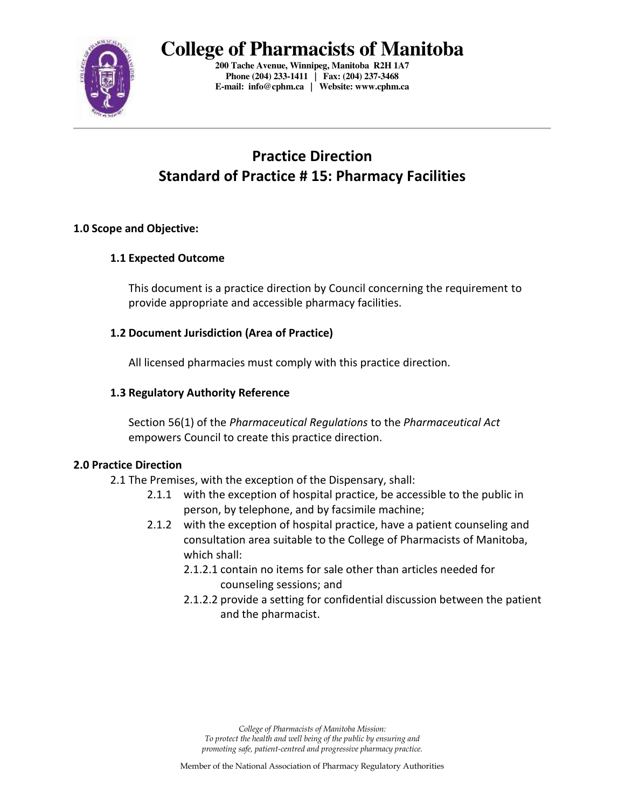

**200 Tache Avenue, Winnipeg, Manitoba R2H 1A7 Phone (204) 233-1411 | Fax: (204) 237-3468 E-mail: info@cphm.ca | Website: www.cphm.ca** 

# **Practice Direction Standard of Practice # 15: Pharmacy Facilities**

## **1.0 Scope and Objective:**

## **1.1 Expected Outcome**

This document is a practice direction by Council concerning the requirement to provide appropriate and accessible pharmacy facilities.

## **1.2 Document Jurisdiction (Area of Practice)**

All licensed pharmacies must comply with this practice direction.

## **1.3 Regulatory Authority Reference**

Section 56(1) of the *Pharmaceutical Regulations* to the *Pharmaceutical Act*  empowers Council to create this practice direction.

#### **2.0 Practice Direction**

- 2.1 The Premises, with the exception of the Dispensary, shall:
	- 2.1.1 with the exception of hospital practice, be accessible to the public in person, by telephone, and by facsimile machine;
	- 2.1.2 with the exception of hospital practice, have a patient counseling and consultation area suitable to the College of Pharmacists of Manitoba, which shall:
		- 2.1.2.1 contain no items for sale other than articles needed for counseling sessions; and
		- 2.1.2.2 provide a setting for confidential discussion between the patient and the pharmacist.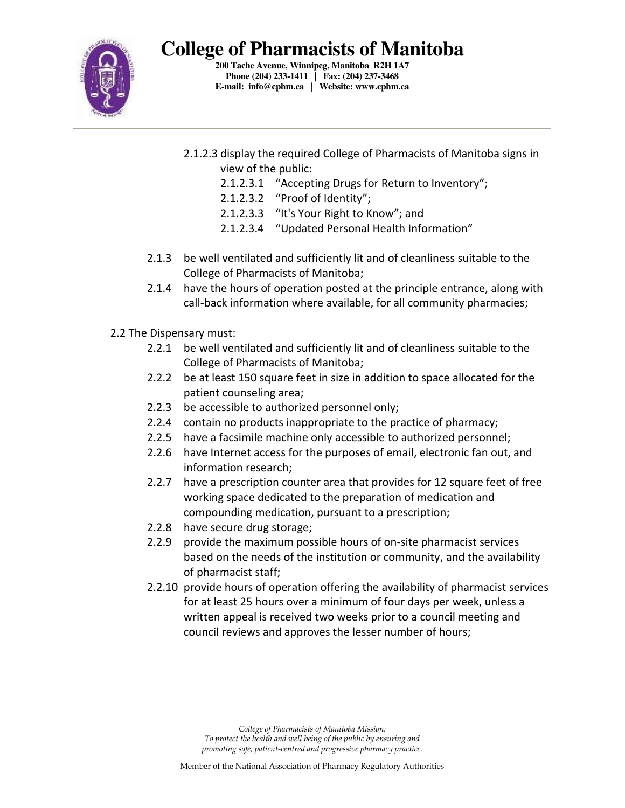

**200 Tache Avenue, Winnipeg, Manitoba R2H 1A7 Phone (204) 233-1411 | Fax: (204) 237-3468 E-mail: info@cphm.ca | Website: www.cphm.ca** 

- 2.1.2.3 display the required College of Pharmacists of Manitoba signs in view of the public:
	- 2.1.2.3.1 "Accepting Drugs for Return to Inventory";
	- 2.1.2.3.2 "Proof of Identity";
	- 2.1.2.3.3 "It's Your Right to Know"; and
	- 2.1.2.3.4 "Updated Personal Health Information"
- 2.1.3 be well ventilated and sufficiently lit and of cleanliness suitable to the College of Pharmacists of Manitoba;
- 2.1.4 have the hours of operation posted at the principle entrance, along with call-back information where available, for all community pharmacies;
- 2.2 The Dispensary must:
	- 2.2.1 be well ventilated and sufficiently lit and of cleanliness suitable to the College of Pharmacists of Manitoba;
	- 2.2.2 be at least 150 square feet in size in addition to space allocated for the patient counseling area;
	- 2.2.3 be accessible to authorized personnel only;
	- 2.2.4 contain no products inappropriate to the practice of pharmacy;
	- 2.2.5 have a facsimile machine only accessible to authorized personnel;
	- 2.2.6 have Internet access for the purposes of email, electronic fan out, and information research;
	- 2.2.7 have a prescription counter area that provides for 12 square feet of free working space dedicated to the preparation of medication and compounding medication, pursuant to a prescription;
	- 2.2.8 have secure drug storage;
	- 2.2.9 provide the maximum possible hours of on-site pharmacist services based on the needs of the institution or community, and the availability of pharmacist staff;
	- 2.2.10 provide hours of operation offering the availability of pharmacist services for at least 25 hours over a minimum of four days per week, unless a written appeal is received two weeks prior to a council meeting and council reviews and approves the lesser number of hours;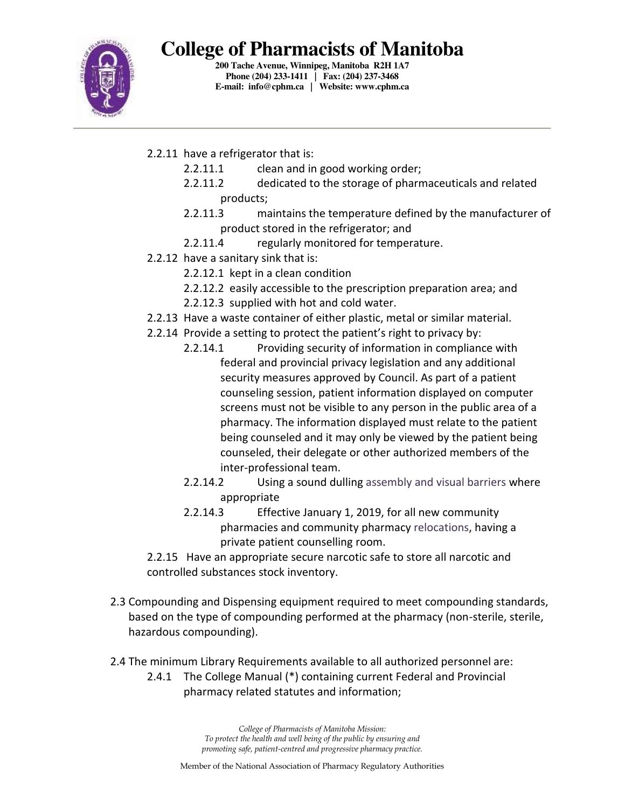

**200 Tache Avenue, Winnipeg, Manitoba R2H 1A7 Phone (204) 233-1411 | Fax: (204) 237-3468 E-mail: info@cphm.ca | Website: www.cphm.ca** 

- 2.2.11 have a refrigerator that is:
	- 2.2.11.1 clean and in good working order;
	- 2.2.11.2 dedicated to the storage of pharmaceuticals and related products;
	- 2.2.11.3 maintains the temperature defined by the manufacturer of product stored in the refrigerator; and
	- 2.2.11.4 regularly monitored for temperature.
- 2.2.12 have a sanitary sink that is:
	- 2.2.12.1 kept in a clean condition
	- 2.2.12.2 easily accessible to the prescription preparation area; and
	- 2.2.12.3 supplied with hot and cold water.
- 2.2.13 Have a waste container of either plastic, metal or similar material.
- 2.2.14 Provide a setting to protect the patient's right to privacy by:
	- 2.2.14.1 Providing security of information in compliance with federal and provincial privacy legislation and any additional security measures approved by Council. As part of a patient counseling session, patient information displayed on computer screens must not be visible to any person in the public area of a pharmacy. The information displayed must relate to the patient being counseled and it may only be viewed by the patient being counseled, their delegate or other authorized members of the inter-professional team.
	- 2.2.14.2 Using a sound dulling assembly and visual barriers where appropriate
	- 2.2.14.3 Effective January 1, 2019, for all new community pharmacies and community pharmacy relocations, having a private patient counselling room.
- 2.2.15 Have an appropriate secure narcotic safe to store all narcotic and controlled substances stock inventory.
- 2.3 Compounding and Dispensing equipment required to meet compounding standards, based on the type of compounding performed at the pharmacy (non-sterile, sterile, hazardous compounding).
- 2.4 The minimum Library Requirements available to all authorized personnel are:
	- 2.4.1 The College Manual (\*) containing current Federal and Provincial pharmacy related statutes and information;